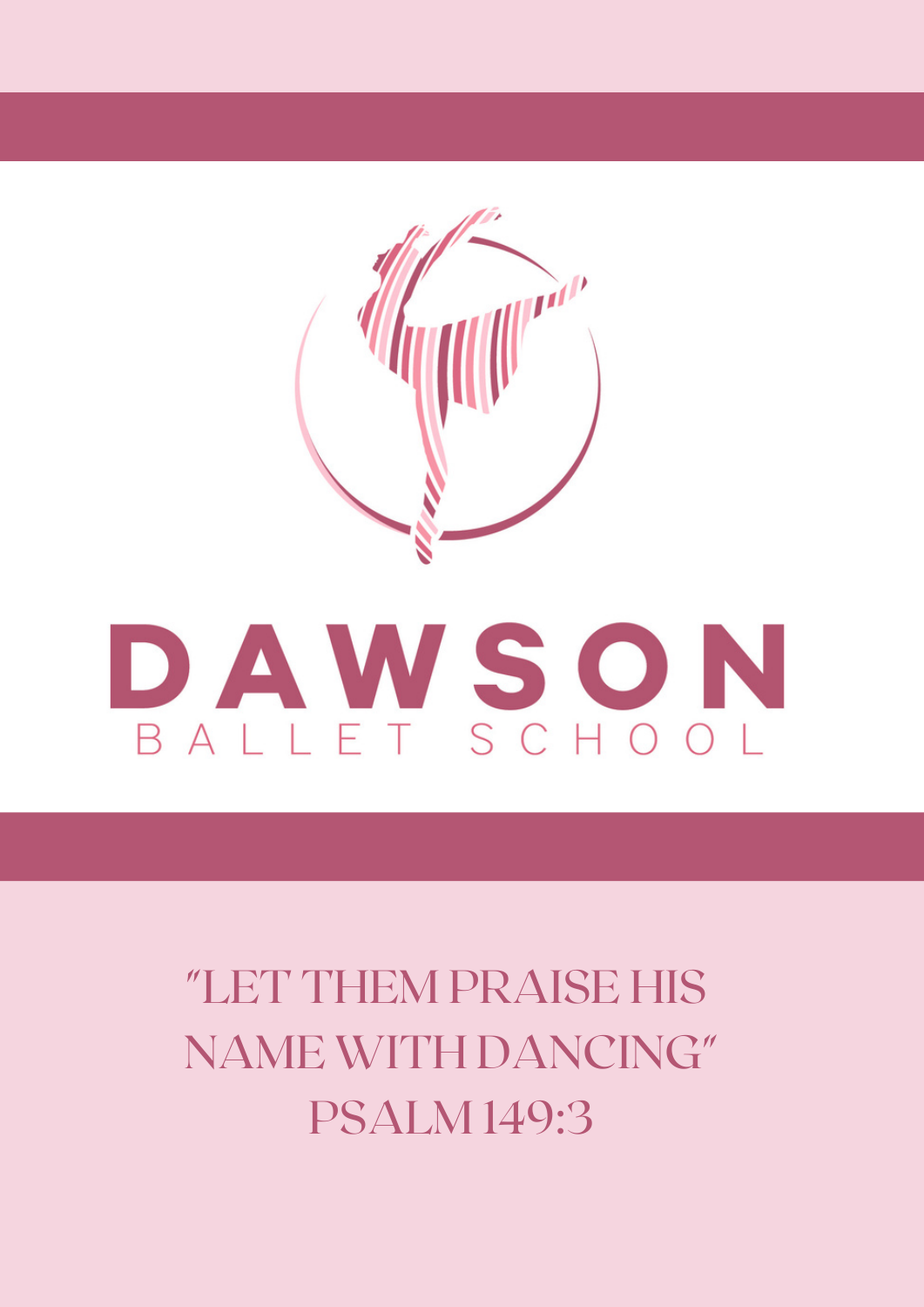

# BALLET SCHOOL

"LET THEM PRAISE HIS NAME WITH DANCING" PSALM 149:3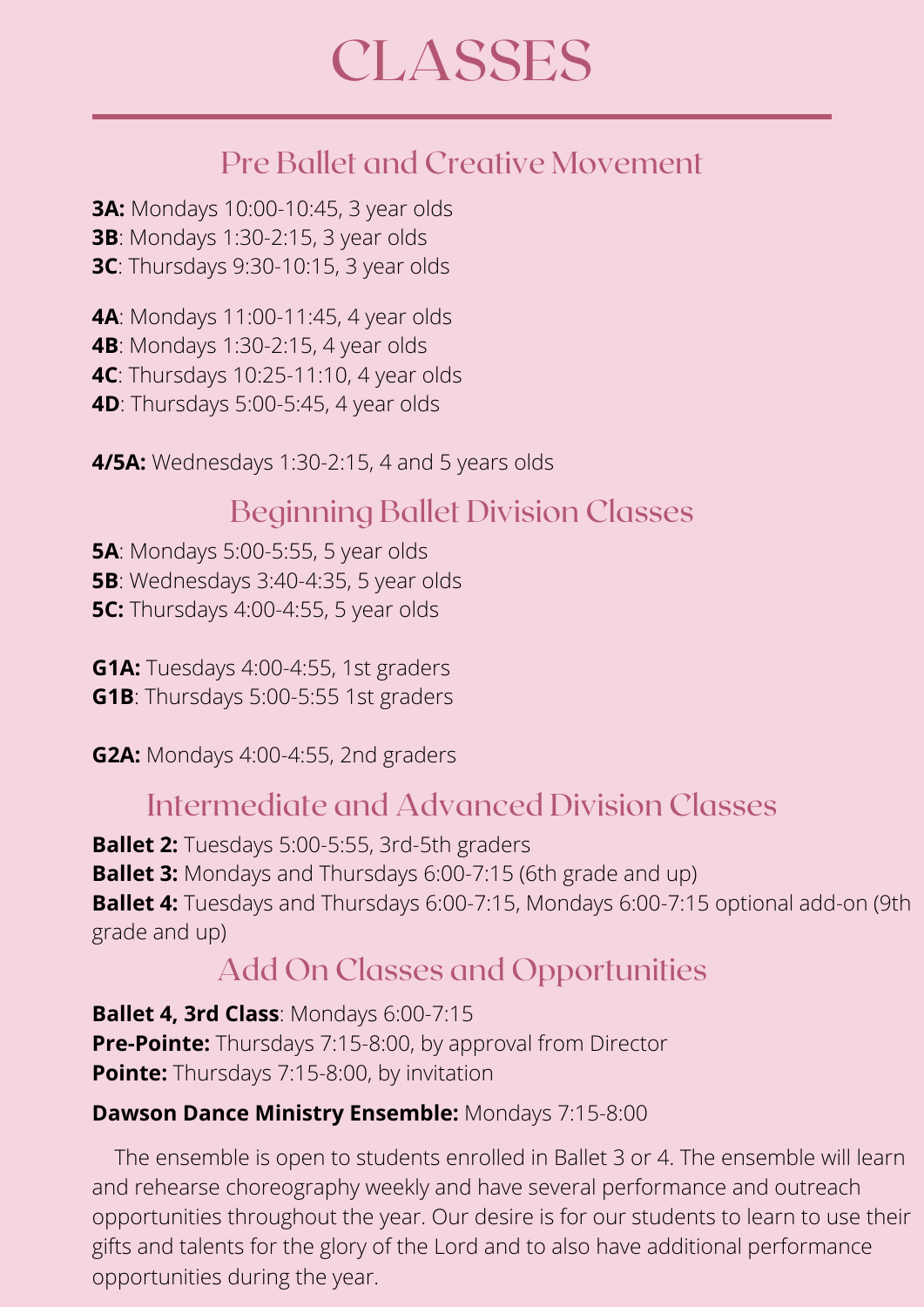#### Pre Ballet and Creative Movement

**3A:** Mondays 10:00-10:45, 3 year olds **3B**: Mondays 1:30-2:15, 3 year olds **3C**: Thursdays 9:30-10:15, 3 year olds

**4A**: Mondays 11:00-11:45, 4 year olds **4B**: Mondays 1:30-2:15, 4 year olds **4C**: Thursdays 10:25-11:10, 4 year olds **4D**: Thursdays 5:00-5:45, 4 year olds

**4/5A:** Wednesdays 1:30-2:15, 4 and 5 years olds

#### Beginning Ballet Division Classes

**5A**: Mondays 5:00-5:55, 5 year olds **5B**: Wednesdays 3:40-4:35, 5 year olds **5C:** Thursdays 4:00-4:55, 5 year olds

**G1A:** Tuesdays 4:00-4:55, 1st graders **G1B**: Thursdays 5:00-5:55 1st graders

**G2A:** Mondays 4:00-4:55, 2nd graders

#### Intermediate and Advanced Division Classes

**Ballet 2:** Tuesdays 5:00-5:55, 3rd-5th graders **Ballet 3:** Mondays and Thursdays 6:00-7:15 (6th grade and up) **Ballet 4:** Tuesdays and Thursdays 6:00-7:15, Mondays 6:00-7:15 optional add-on (9th grade and up)

#### Add On Classes and Opportunities

**Ballet 4, 3rd Class**: Mondays 6:00-7:15 **Pre-Pointe:** Thursdays 7:15-8:00, by approval from Director **Pointe:** Thursdays 7:15-8:00, by invitation

#### **Dawson Dance Ministry Ensemble:** Mondays 7:15-8:00

The ensemble is open to students enrolled in Ballet 3 or 4. The ensemble will learn and rehearse choreography weekly and have several performance and outreach opportunities throughout the year. Our desire is for our students to learn to use their gifts and talents for the glory of the Lord and to also have additional performance opportunities during the year.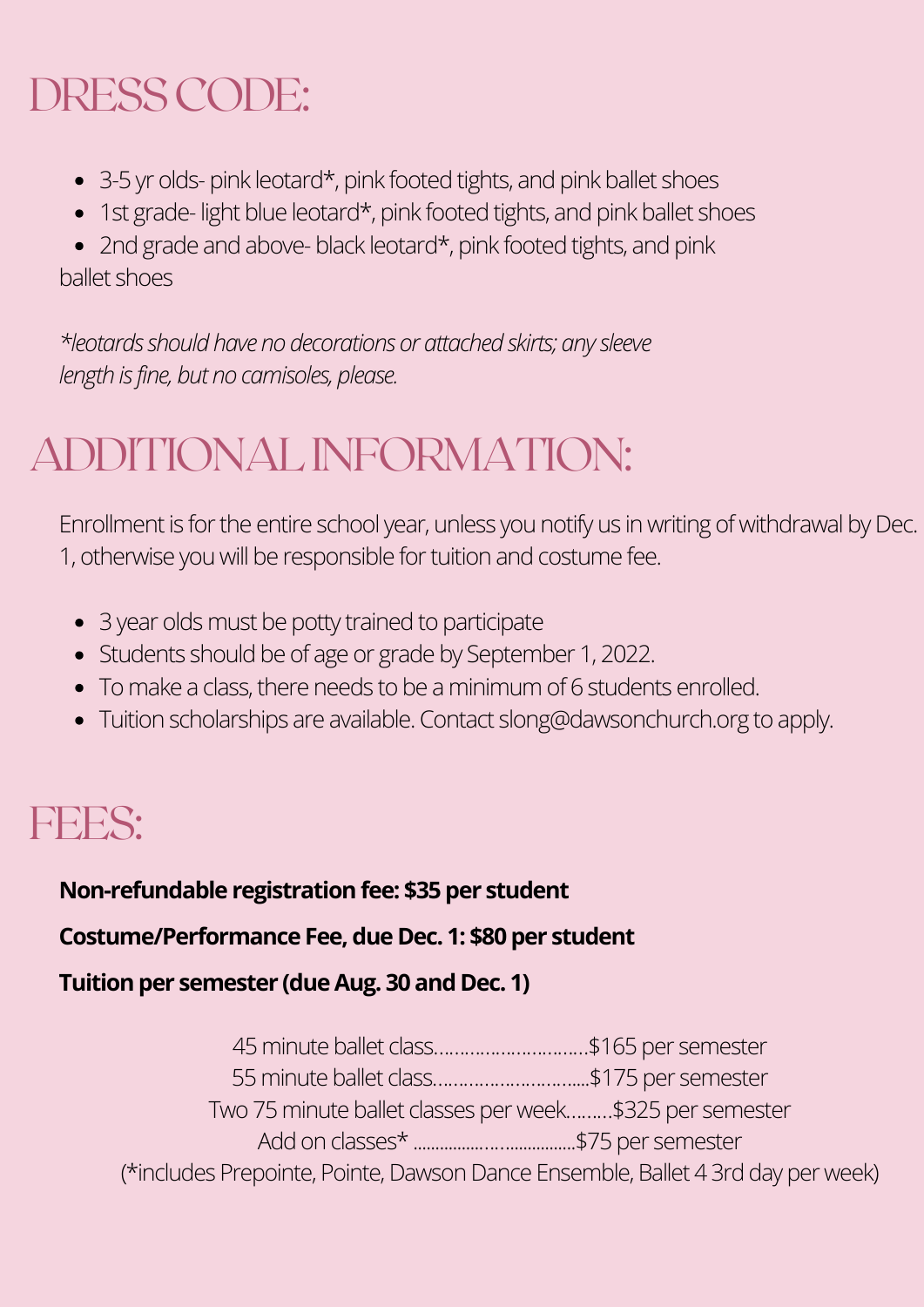## DRESSCODE:

- 3-5 yr olds- pink leotard\*, pink footed tights, and pink ballet shoes
- 1st grade-light blue leotard\*, pink footed tights, and pink ballet shoes

• 2nd grade and above- black leotard\*, pink footed tights, and pink ballet shoes

*\*leotards should have no decorations or attached skirts; any sleeve length is fine, but no camisoles, please.*

## ADDITIONALINFORMATION:

Enrollment is for the entire school year, unless you notify us in writing of withdrawal by Dec. 1, otherwise you will be responsible for tuition and costume fee.

- 3 year olds must be potty trained to participate
- Students should be of age or grade by September 1, 2022.
- To make a class, there needs to be a minimum of 6 students enrolled.
- Tuition scholarships are available. Contact slong@dawsonchurch.org to apply.

#### FEES:

**Non-refundable registration fee: \$35 per student** 

**Costume/Performance Fee, due Dec. 1: \$80 per student**

**Tuitionper semester (dueAug. 30 and Dec. 1)**

| 45 minute ballet class\$165 per semester                                        |  |
|---------------------------------------------------------------------------------|--|
| 55 minute ballet class\$175 per semester                                        |  |
| Two 75 minute ballet classes per week\$325 per semester                         |  |
|                                                                                 |  |
| (*includes Prepointe, Pointe, Dawson Dance Ensemble, Ballet 4 3rd day per week) |  |